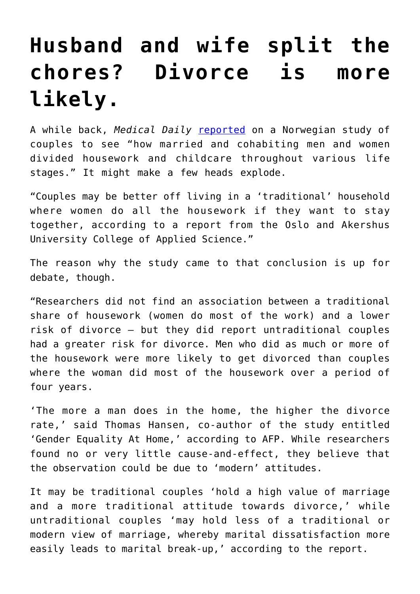## **[Husband and wife split the](https://intellectualtakeout.org/2016/03/husband-and-wife-split-the-chores-divorce-is-more-likely/) [chores? Divorce is more](https://intellectualtakeout.org/2016/03/husband-and-wife-split-the-chores-divorce-is-more-likely/) [likely.](https://intellectualtakeout.org/2016/03/husband-and-wife-split-the-chores-divorce-is-more-likely/)**

A while back, *Medical Daily* [reported](http://www.medicaldaily.com/more-chores-husband-does-more-likely-marriage-will-end-divorce-242815) on a Norwegian study of couples to see "how married and cohabiting men and women divided housework and childcare throughout various life stages." It might make a few heads explode.

"Couples may be better off living in a 'traditional' household where women do all the housework if they want to stay together, according to a report from the Oslo and Akershus University College of Applied Science."

The reason why the study came to that conclusion is up for debate, though.

"Researchers did not find an association between a traditional share of housework (women do most of the work) and a lower risk of divorce — but they did report untraditional couples had a greater risk for divorce. Men who did as much or more of the housework were more likely to get divorced than couples where the woman did most of the housework over a period of four years.

'The more a man does in the home, the higher the divorce rate,' said Thomas Hansen, co-author of the study entitled 'Gender Equality At Home,' according to AFP. While researchers found no or very little cause-and-effect, they believe that the observation could be due to 'modern' attitudes.

It may be traditional couples 'hold a high value of marriage and a more traditional attitude towards divorce,' while untraditional couples 'may hold less of a traditional or modern view of marriage, whereby marital dissatisfaction more easily leads to marital break-up,' according to the report.